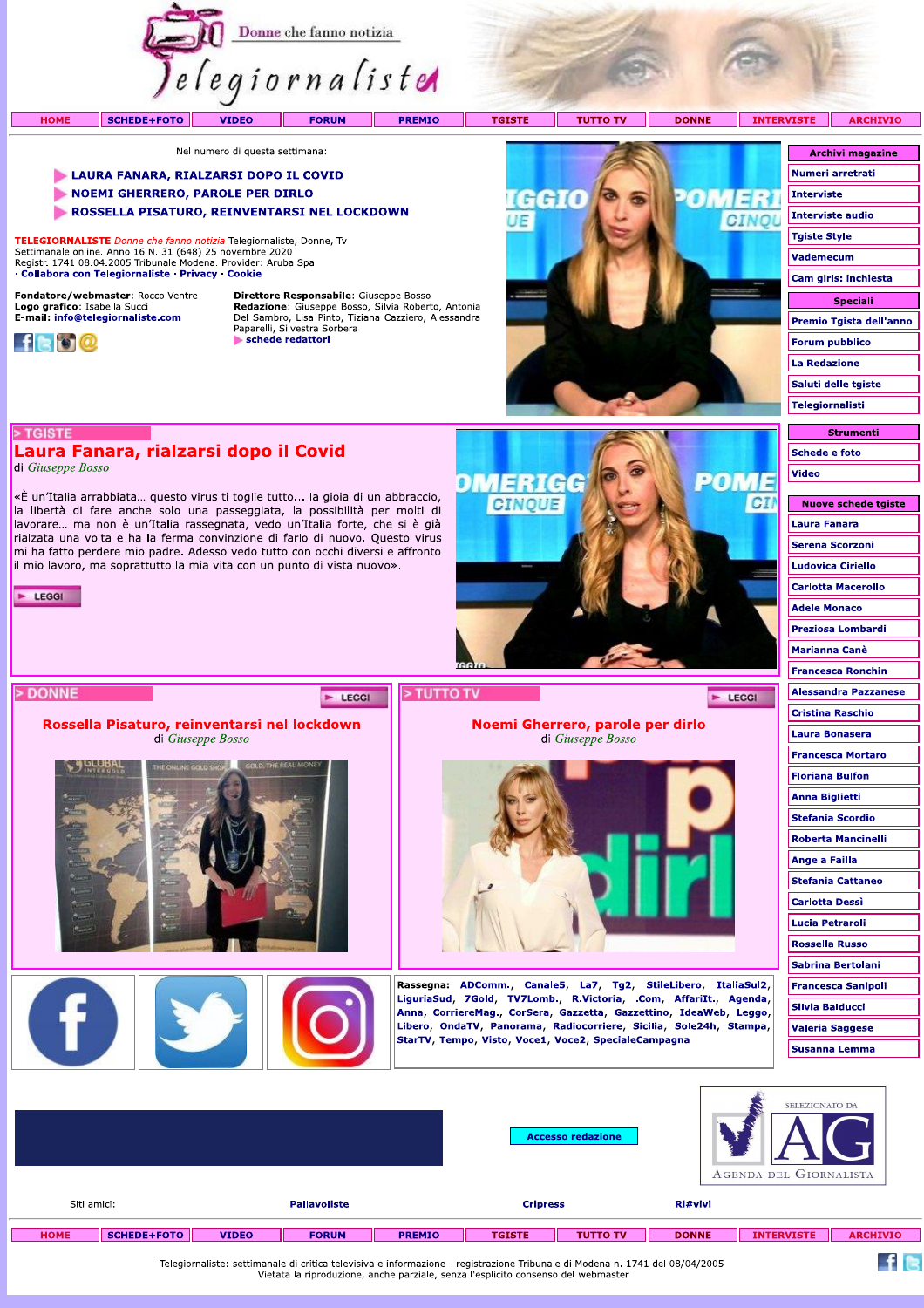

**TGISTE** 

**TUTTO TV** 

DMERICG

**CINOUE** 

Noemi Gherrero, parole per dirlo

di Giuseppe Bosso

Rassegna: ADComm., Canale5, La7, Tg2, StileLibero, ItaliaSul2, LiguriaSud, 7Gold, TV7Lomb., R.Victoria, .Com, AffariIt., Agenda, Anna, CorriereMag., CorSera, Gazzetta, Gazzettino, IdeaWeb, Leggo, Libero, OndaTV, Panorama, Radiocorriere, Sicilia, Sole24h, Stampa,

StarTV, Tempo, Visto, Voce1, Voce2, SpecialeCampagna

**DONNE** 

2017

E LEGGI

CI

**INTERVISTE ARCHIVIO** 

Nel numero di questa settimana:

#### LAURA FANARA, RIALZARSI DOPO IL COVID

- NOEMI GHERRERO, PAROLE PER DIRLO
- ROSSELLA PISATURO, REINVENTARSI NEL LOCKDOWN

TELEGIORNALISTE Donne che fanno notizia Telegiornaliste, Donne, Ty Settimanale online. Anno 16 N. 31 (648) 25 novembre 2020<br>Registr. 1741 08.04.2005 Tribunale Modena. Provider: Aruba Spa · Collabora con Telegiornaliste · Privacy · Cookie

Laura Fanara, rialzarsi dopo il Covid

«È un'Italia arrabbiata... questo virus ti toglie tutto... la gioia di un abbraccio,

la libertà di fare anche solo una passeggiata, la possibilità per molti di lavorare... ma non è un'Italia rassegnata, vedo un'Italia forte, che si è già<br>rialzata una volta e ha la ferma convinzione di farlo di nuovo. Questo virus mi ha fatto perdere mio padre. Adesso vedo tutto con occhi diversi e affronto il mio lavoro, ma soprattutto la mia vita con un punto di vista nuovo».

Rossella Pisaturo, reinventarsi nel lockdown

di Giuseppe Bosso

Fondatore/webmaster: Rocco Ventre Logo grafico: Isabella Succi<br>E-mail: info@telegiornaliste.com



> TGISTE

 $\blacktriangleright$  LEGGI

> DONNE

di Giuseppe Bosso

**HOME** 

Direttore Responsabile: Giuseppe Bosso **Redazione:** Giuseppe Bosso, Silvia Roberto, Antonia<br>Del Sambro, Lisa Pinto, Tiziana Cazziero, Alessandra<br>Paparelli, Silvestra Sorbera schede redattori

E LEGGI



| <b>Archivi magazine</b> |
|-------------------------|
| Numeri arretrati        |
| Interviste              |
| Interviste audio        |
| <b>Tgiste Style</b>     |
| <b>Vademecum</b>        |
| Cam girls: inchiesta    |
| Speciali                |
|                         |
| Premio Tgista dell'anno |
| <b>Forum pubblico</b>   |
| La Redazione            |
| Saluti delle tgiste     |
| <b>Telegiornalisti</b>  |

**Strumenti** Schede e foto Video

| Nuove schede tgiste       |
|---------------------------|
| Laura Fanara              |
| <b>Serena Scorzoni</b>    |
| Ludovica Ciriello         |
| <b>Carlotta Macerollo</b> |
| <b>Adele Monaco</b>       |
| Preziosa Lombardi         |
| Marianna Canè             |
| <b>Francesca Ronchin</b>  |
| Alessandra Pazzanese      |
| <b>Cristina Raschio</b>   |
| Laura Bonasera            |
| <b>Francesca Mortaro</b>  |
| Floriana Bulfon           |
| <b>Anna Biglietti</b>     |
| <b>Stefania Scordio</b>   |
| <b>Roberta Mancinelli</b> |
| Angela Failla             |
| <b>Stefania Cattaneo</b>  |
| Carlotta Dessì            |
| Lucia Petraroli           |
| <b>Rossella Russo</b>     |
| Sabrina Bertolani         |
| <b>Francesca Sanipoli</b> |
| Silvia Balducci           |
| <b>Valeria Saggese</b>    |
| Susanna Lemma             |
|                           |

 $f$  is

|             |                    |              |                     |               | <b>Accesso redazione</b> |                 |              | SELEZIONATO DA<br>AGENDA DEL GIORNALISTA |                 |  |  |
|-------------|--------------------|--------------|---------------------|---------------|--------------------------|-----------------|--------------|------------------------------------------|-----------------|--|--|
| Siti amici: |                    |              | <b>Pallavoliste</b> |               | <b>Cripress</b>          |                 | Ri#vivi      |                                          |                 |  |  |
| <b>HOME</b> | <b>SCHEDE+FOTO</b> | <b>VIDEO</b> | <b>FORUM</b>        | <b>PREMIO</b> | <b>TGISTE</b>            | <b>TUTTO TV</b> | <b>DONNE</b> | <b>INTERVISTE</b>                        | <b>ARCHIVIO</b> |  |  |

> TUTTO TV

Telegiornaliste: settimanale di critica televisiva e informazione - registrazione Tribunale di Modena n. 1741 del 08/04/2005<br>Vietata la riproduzione, anche parziale, senza l'esplicito consenso del webmaster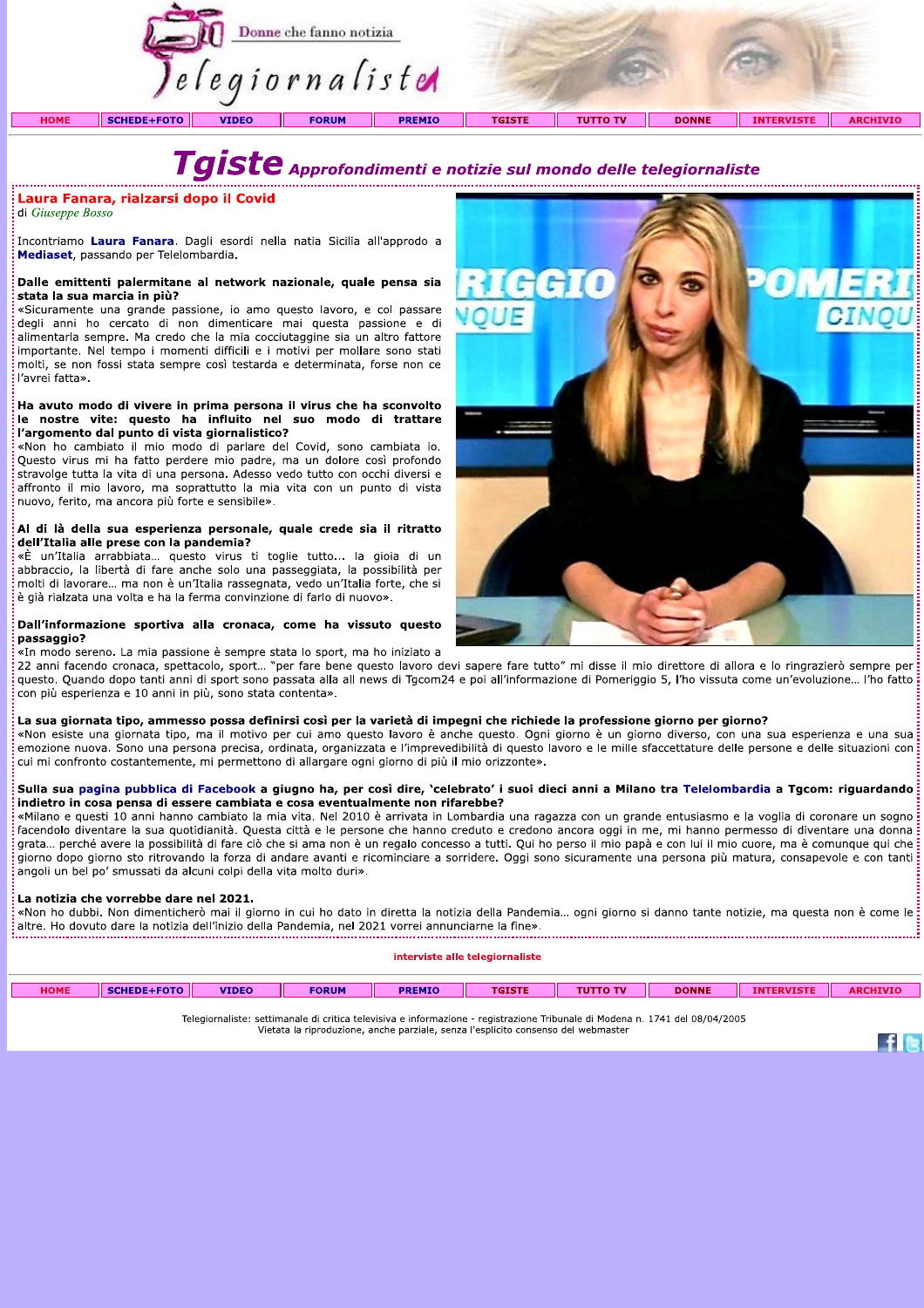

di Giuseppe Bosso

Transmissione de la ministration de la ministration de la ministration de la ministrational di Giuseppe Bosso<br>
Incontriamo Laura Fanara. Dagli esordi nella natia Sicilia all'approdo a<br>
Mediaset, passando per Telelombardia. molti, se non fossi stata sempre così testarda e determinata, forse non ce l'avrei fatta».

#### Ha avuto modo di vivere in prima persona il virus che ha sconvolto le nostre vite: questo ha influito nel suo modo di trattare l'argomento dal punto di vista giornalistico?

«Non ho cambiato il mio modo di parlare del Covid, sono cambiata io. Questo virus mi ha fatto perdere mio padre, ma un dolore così profondo stravolge tutta la vita di una persona. Adesso vedo tutto con occhi diversi e affronto il mio lavoro, ma soprattutto la mia vita con un punto di vista nuovo, ferito, ma ancora più forte e sensibile».

#### Al di là della sua esperienza personale, quale crede sia il ritratto dell'Italia alle prese con la pandemia?

«È un'Italia arrabbiata... questo virus ti toglie tutto... la gioia di un abbraccio, la libertà di fare anche solo una passeggiata, la possibilità per molti di lavorare... ma non è un'Italia rassegnata, vedo un'Italia forte, che si è già rialzata una volta e ha la ferma convinzione di farlo di nuovo».

#### Dall'informazione sportiva alla cronaca, come ha vissuto questo passaggio?

«In modo sereno. La mia passione è sempre stata lo sport, ma ho iniziato a

22 anni facendo cronaca, spettacolo, sport... "per fare bene questo lavoro devi sapere fare tutto" mi disse il mio direttore di allora e lo ringrazierò sempre per questo. Quando dopo tanti anni di sport sono passata alla all news di Tgcom24 e poi all'informazione di Pomeriggio 5, l'ho vissuta come un'evoluzione... l'ho fatto<br>con più esperienza e 10 anni in più, sono stata contenta». **Califinformazione sportiva alla cronaca, come ha vissuto questo<br>
sanggio?**<br>
Ela sua passione è sempre stata lo sport, ma ho iniziato a<br>
carmi faceboot comeza, spettacolo, sport... "ber fare bene questo lavoro devi sapere

#### elelombargia a Tgcom: riguardando indietro in cosa pensa di essere cambiata e cosa eventualmente non rifarebbe?

«Milano e questi 10 anni hanno cambiato la mia vita. Nel 2010 è arrivata in Lombardia una ragazza con un grande entusiasmo e la voglia di coronare un sogno facendolo diventare la sua quotidianità. Questa città e le persone che hanno creduto e credono ancora oggi in me, mi hanno permesso di diventare una donna grata... perché avere la possibilità di fare ciò che si ama non è un regalo concesso a tutti. Qui ho perso il mio papà e con lui il mio cuore, ma è comunque qui che giorno dopo giorno sto ritrovando la forza di andare avanti e ricominciare a sorridere. Oggi sono sicuramente una persona più matura, consapevole e con tanti angoli un bel po' smussati da alcuni colpi della vita molto duri

La notizia che vorrebbe dare nel 2021.<br>- «Non ho dubbi. Non dimenticherò mai il giorno in cui ho dato in diretta la notizia della Pandemia... ogni giorno si danno tante notizie, ma questa non è come le<br>- altre. Ho dovuto d

| <b>HOME</b> | LEOTO | <b>VIDEO</b> | <b>FORUM</b> | PREMIC | <b>TOTOTE</b><br>ю. | O TV<br>וטז | <b>DONNE</b> | <b>ARC'</b> |
|-------------|-------|--------------|--------------|--------|---------------------|-------------|--------------|-------------|
|             |       |              |              |        |                     |             |              |             |

TERGIOF AND TELEGIOF ATHEFT SECONDET SECONDER ENDERGE SECONDISTE: SECONDISCE: SECONDISCE: SECONDISCO E INCORDI<br>Vietata la riproduzione, anche parziale, senza l'esplicito consenso del webmaster



 $f$  is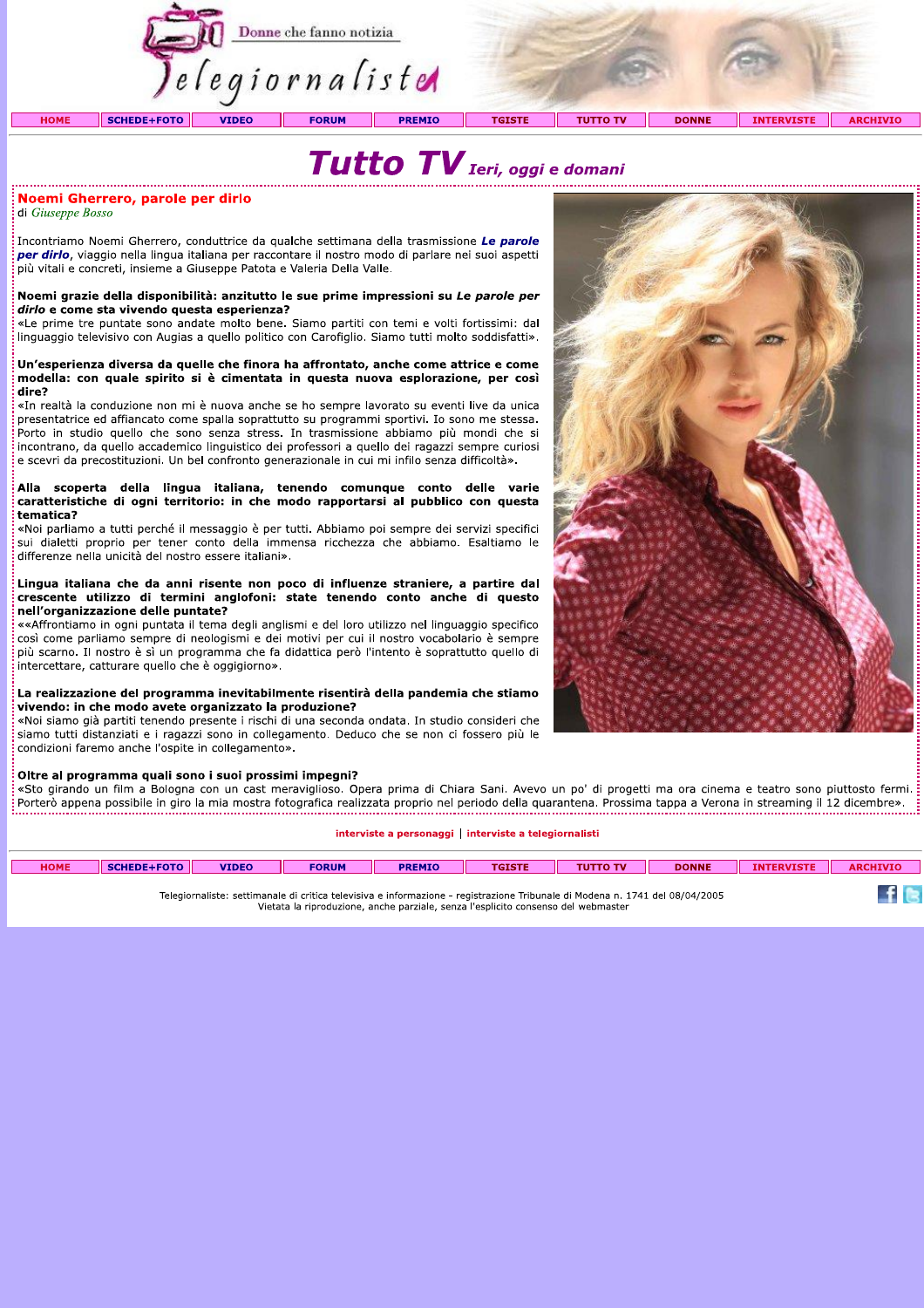



## Noemi Gherrero, parole per dirlo

di Giuseppe Bosso

Incontriamo Noemi Gherrero, conduttrice da qualche settimana della trasmissione Le parole per dirlo, viaggio nella lingua italiana per raccontare il nostro modo di parlare nei suoi aspetti più vitali e concreti, insieme a Giuseppe Patota e Valeria Della Valle.

#### Noemi grazie della disponibilità: anzitutto le sue prime impressioni su Le parole per dirlo e come sta vivendo questa esperienza?

«Le prime tre puntate sono andate molto bene. Siamo partiti con temi e volti fortissimi: dal linguaggio televisivo con Augias a quello politico con Carofiglio. Siamo tutti molto soddisfatti».

#### Un'esperienza diversa da quelle che finora ha affrontato, anche come attrice e come modella: con quale spirito si è cimentata in questa nuova esplorazione, per così dire?

«In realtà la conduzione non mi è nuova anche se ho sempre lavorato su eventi live da unica presentatrice ed affiancato come spalla soprattutto su programmi sportivi. Io sono me stessa. Porto in studio quello che sono senza stress. In trasmissione abbiamo più mondi che si incontrano, da quello accademico linguistico dei professori a quello dei ragazzi sempre curiosi e scevri da precostituzioni. Un bel confronto generazionale in cui mi infilo senza difficoltà».

#### Alla scoperta della lingua italiana, tenendo comunque conto delle varie caratteristiche di ogni territorio: in che modo rapportarsi al pubblico con questa tematica?

«Noi parliamo a tutti perché il messaggio è per tutti. Abbiamo poi sempre dei servizi specifici sui dialetti proprio per tener conto della immensa ricchezza che abbiamo. Esaltiamo le differenze nella unicità del nostro essere italiani».

#### Lingua italiana che da anni risente non poco di influenze straniere, a partire dal crescente utilizzo di termini anglofoni: state tenendo conto anche di questo nell'organizzazione delle puntate?

«Affrontiamo in ogni puntata il tema degli anglismi e del loro utilizzo nel linguaggio specifico così come parliamo sempre di neologismi e dei motivi per cui il nostro vocabolario è sempre più scarno. Il nostro è sì un programma che fa didattica però l'intento è soprattutto quello di intercettare, catturare quello che è oggigiorno».

#### La realizzazione del programma inevitabilmente risentirà della pandemia che stiamo vivendo: in che modo avete organizzato la produzione?

«Noi siamo già partiti tenendo presente i rischi di una seconda ondata. In studio consideri che siamo tutti distanziati e i ragazzi sono in collegamento. Deduco che se non ci fossero più le condizioni faremo anche l'ospite in collegamento».

## Oltre al programma quali sono i suoi prossimi impegni?

«Sto girando un film a Bologna con un cast meraviglioso. Opera prima di Chiara Sani. Avevo un po' di progetti ma ora cinema e teatro sono piuttosto fermi. 

#### interviste a personaggi | interviste a telegiornalisti

| <b>HOME</b> | <b>SCHEDE+FOTO</b> | <b>VIDEO</b> | <b>FORUM</b> | <b>PREMIO</b> | <b>TGISTE</b>                                                                                                                | <b>TUTTO TV</b> | <b>DONNE</b> | <b>INTERVISTE</b> |  |
|-------------|--------------------|--------------|--------------|---------------|------------------------------------------------------------------------------------------------------------------------------|-----------------|--------------|-------------------|--|
|             |                    |              |              |               | Telegiornaliste: settimanale di critica televisiva e informazione - registrazione Tribunale di Modena n. 1741 del 08/04/2005 |                 |              |                   |  |

Vietata la riproduzione, anche parziale, senza l'esplicito consenso del webmaster